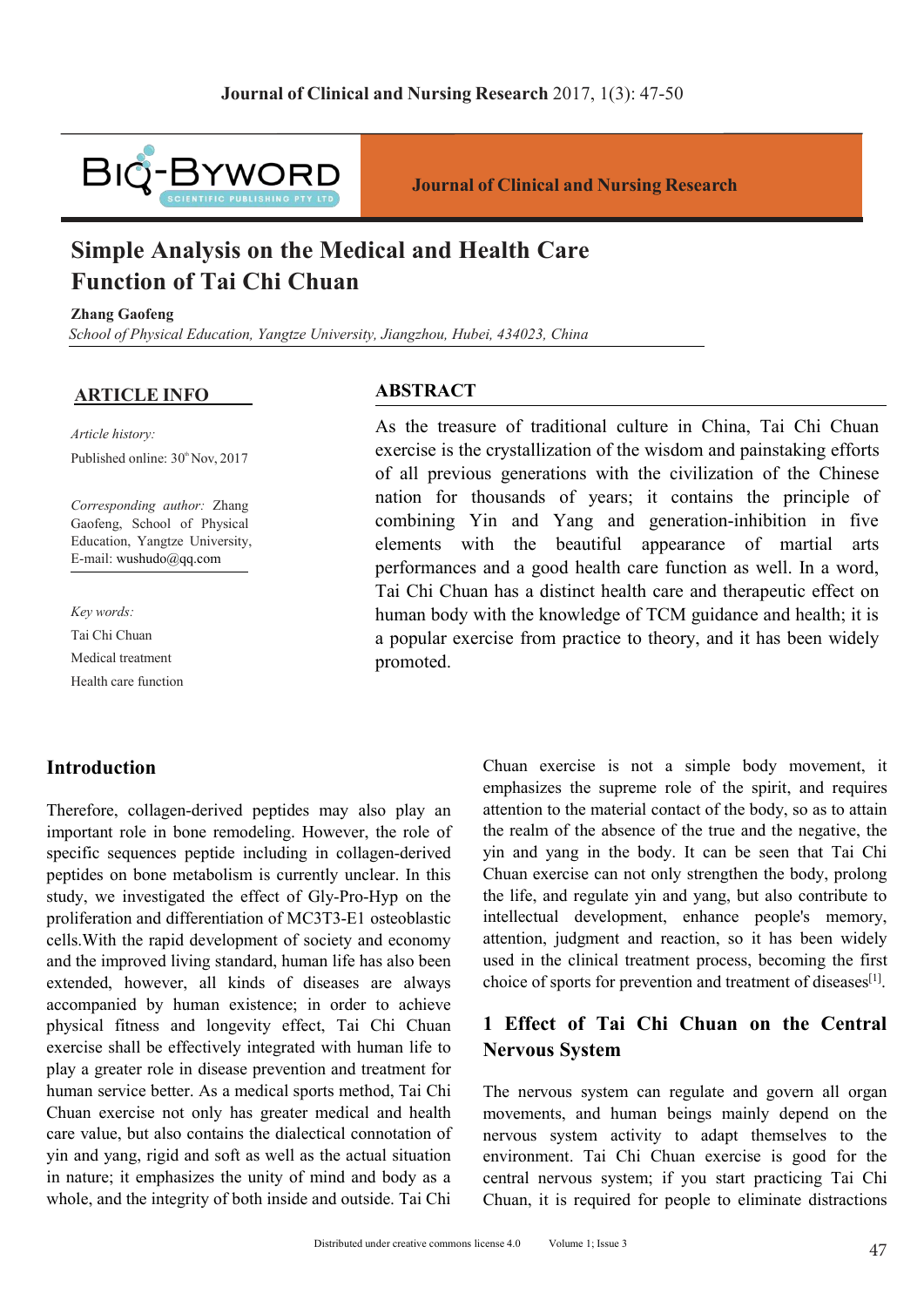

# **Journal of Clinical and Nursing Research Simple Analysis on the Medical and Nursing Research 2017, 1(3): 47-50<br>
<b>Simple Analysis on the Medical and Health Care**<br> **Simple Analysis on the Medical and Health Care**<br> **Function of Tai Chi Chuan**<br> **Exhang Gaofeng**<br> **Ex Function of Clinical and Nursing Research 2017, 1(3): 47-5<br>
<b>FUQ - BYWORD**<br> **FURNIFY AND**<br> **FUNCTION CONTREPARTS SIMPLE Analysis on the Medical and Health Care**<br> **Function of Tai Chi Chuan**<br>
<u>School of Physical Education,</u> **Simple Analysis on the Medical and Health Care**<br> **Simple Analysis on the Medical and Health Care**<br> **Function of Tai Chi Chuan**<br> **Examp Gaoteng**<br> **Example Analysis on the Medical and Health Care**<br> **Examp Gaoteng**<br> **Example ARTICLE INFO**<br> **ARTICLE INFO**<br> **ARTICLE INFO**<br> **ARTICLE INFO**<br> **ARTICLE INFO**<br> **ARTICLE INFO**<br> **ARTICLE INFO**<br> **ARTICLE INFO**<br> **ARTICLE INFO**<br> **ARTICLE INFO**<br> **ARTICLE INFO**<br> **ARTICLE INFO**<br> **ARTICLE INFO**<br> **ARTICLE INFO Simple Analysis on the N<br>
<b>Function of Tai Chi Chu**<br> **Zhang Gaofeng**<br>
School of Physical Education, Yangtze Un<br> **ARTICLE INFO**<br> *Article history:*<br>
Published online: 30<sup>\*</sup> Nov, 2017 **SIMPIE ANAIYSIS ON THE INTEGREE IN THE TERM EXPRESHENCE THE ORIGINAL PRESENTS SCHOOL Of Physical Education, Yangtze University, Jiangzho<br>
ARTICLE INFO<br>
ARTICLE INFO<br>
Article history:<br>
Published online: 30<sup>\*</sup> Nov, 2017 and**

*Corresponding author:* Zhang Gaofeng, School of Physical Education, Yangtze University, E-mail: wushudo@qq.com *Articlehistory:*<br>
Published online: 30<sup><sup>a</sup></sup> Nov, 2017<br> *Corresponding author:* Zhang<br>
Gaofeng, School of Physical<br>
Education, Yangtze University,<br>
E-mail: wushudo@qq.com<br> *Key words:*<br>
Tai Chi Chuan<br>
Medical treatment<br>
H Article history:<br>
Published online: 30<sup>\*</sup> Nov, 2017<br>
Corresponding author: Zhang<br>
Gaofeng, School of Physical<br>
Education, Yangtze University,<br>
E-mail: wushudo@qq.com<br>
Key words:<br>
Tai Chi Chuan<br>
Medical treatment<br>
Health ca Published online: 30<sup>®</sup> Nov, 2017<br>
Corresponding author: Zhang<br>
Gaofeng, School of Physical<br>
Education, Yangtze University,<br>
E-mail: wushudo@qq.com<br>
Xey words:<br>
Tai Chi Chuan<br>
Medical treatment<br>
Health care function Corresponding author: Zhang<br>Gaofeng, School of Physical<br>Education, Yangtze University,<br>E-mail: wushudo@qq.com<br>Key words:<br>Tai Chi Chuan<br>Medical treatment<br>Health care function

### **Introduction**

Fai Chi Chuan has a distinct health care and<br>
Introduction<br>
Introduction<br>
Introduction<br>
Introduction<br>
Introduction<br>
Introduction<br>
Introduction<br>
Introduction<br>
Introduction<br>
Introduction<br>
Introduction<br>
Introduction<br>
Introduc *Sey words:*<br>
Sey *words:*<br>
Tai Chi Chuan<br>
Medical treatment<br>
Medical treatment<br>
Health care function<br>
Medical treatment<br>
Health care function<br>
Therefore, collagen-derived peptides may also play an<br>
Therefore, collagen-der Fai Chi Chuan<br>
Medical treatment<br>
Medical treatment<br>
Health care function<br>
Health care function<br>
Health care function<br>
Health care function<br>
Therefore, collagen-derived peptides may also play an<br>
exercise is not a sumphasi State the reflect of Gly-Pro-Hyp on the life, and regulate and the inproved living standard the effect of Gly-Pro-Hyp on the life, and regulate with the rapid development of the realm of the absence of the proteint structu From the metallic metallic metallic and the metallic metallic metallic metallic metallic metallic metallic metallic metallic metallic metallic metallic metallic metallic metallic metallic metallic metallic provide includin **Introduction**<br> **Chuan exercise is not**<br> **Chuan exercise is not**<br> **complasizes** the supremention<br>
important role in bone remodeling. However, the role of<br>
the realm of the absence<br>
specific sequences peptide including in **Introduction**<br> **Chuan exercise is not a**<br>
emphasizes the supreme rol<br>
important role in bone remodeling. However, the role of<br>
important role in bone remodeling. However, the role of<br>
the realm of the absence of the<br>
prop Introduction<br>
Introduction<br>
Therefore, collagen-derived peptides may also play an<br>
important role in bone remodeling. However, the role of<br>
the realm of the absence o<br>
specific sequences peptide including in collagen-deriv **Introduction**<br> **Chuan** exercise is not<br>
emphasizes the supreme<br>
Therefore, collagen-derived peptides may also play an<br>
important role in bone remodeling. However, the role of<br>
the realm of the absence of<br>
specific sequenc mention entired to the entired peptides may also play and entired to the material comportant role in bone remodeling. However, the role of the realm of the absence of specific sequences peptide including in collagen-derive Therefore, collagen-derived peptides may also play and the different of the material contact<br>important role in bone remodeling. However, the role of the realm of the absence of the<br>specific sequences peptide including in c mentioned in bone emodeling. However, the role of the realm of the absence of the specific sequences peptide including in collagen-derived in and yang in the body. It peptides on bone metabolism is currently unclear. In t myonal rote in one renotouring: nowever, and to the countries are continuous apperific sequences peptide including in collagen-derived in and yang in the body. If peptides on bone metabolism is currently unclear. In this c specinc sequence incoming in conductional in the subsect of the predicts on bone metabolism is currently unclear. In this Chuan exercise can not only study, we investigated the effect of Gly-Pro-Hyp on the the life, and re pependation of metraconsine is currently uncerate. In this contain externed to the life, and regulate yin and y<br>proliferation and differentiation of MC3T3-E1 osteoblastic intellectual development, en<br>cells. With the rapid stration and differentiation of MC3T3-E1 osteoblastic intellectual development of explaint of MC3T3-E1 osteoblastic intellectual development cells. With the rapid development of society and economy attention, judgment and promotion and uncertained or weight of while the universal and the improved living standard, human life has also been<br>and the improved living standard, human life has also been used in the clinical treatment p<br>extended, ho Extrained a cooperation of society and coming the integrity of both inside and the improved living standard, human life has also been used in the clinical treatment extended, however, all kinds of diseases are always choi

### **ABSTRACT**

**Sournal of Clinical and Nursing Research<br>
Cal and Health Care**<br> *As the treasure of traditional culture in China*, Tai Chi Chuan<br> **ABSTRACT**<br>
As the treasure of traditional culture in China, Tai Chi Chuan<br>
exercise is the **Journal of Clinical and Nursing Research**<br> **cal and Health Care**<br> *ABSTRACT*<br>
AS the treasure of traditional culture in China, Tai Chi Chuan<br>
exercise is the crystallization of the wisdom and painstaking efforts<br>
of all p **Cal and Health Care**<br> *Cal and Health Care*<br> *ABSTRACT*<br>
As the treasure of traditional culture in China, Tai Chi Chuan<br>
exercise is the crystallization of the wisdom and painstaking efforts<br>
of all previous generations w **Cal and Health Care**<br> *Ramgzhou, Hubei, 434023, China*<br> **ABSTRACT**<br>
As the treasure of traditional culture in China, Tai Chi Chuan<br>
exercise is the crystallization of the wisdom and painstaking efforts<br>
of all previous ge **cal and Health Care**<br> *Siangzhou, Hubei, 434023, China*<br> **ABSTRACT**<br>
As the treasure of traditional culture in China, Tai Chi Chuan<br>
exercise is the crystallization of the wisdom and painstaking efforts<br>
of all previous Jiangzhou, Hubei, 434023, China<br> **ABSTRACT**<br>
As the treasure of traditional culture in China, Tai Chi Chuan<br>
exercise is the crystallization of the wisdom and painstaking efforts<br>
of all previous generations with the civil *Jiangzhou, Hubei, 434023, China*<br> **ABSTRACT**<br>
As the treasure of traditional culture in China, Tai Chi Chuan<br>
exercise is the crystallization of the wisdom and painstaking efforts<br>
of all previous generations with the civ Jiangzhou, Hubei, 434023, China<br> **ABSTRACT**<br>
As the treasure of traditional culture in China, Tai Chi Chuan<br>
exercise is the crystallization of the wisdom and painstaking efforts<br>
of all previous generations with the civil **ABSTRACT**<br>As the treasure of traditional culture in China, Tai Chi Chuan exercise is the crystallization of the wisdom and painstaking efforts of all previous generations with the civilization of the Chinese nation for t **ABSTRACT**<br>As the treasure of traditional culture in China, Tai Chi Chuan<br>exercise is the crystallization of the wisdom and painstaking efforts<br>of all previous generations with the civilization of the Chinese<br>nation for th promoted. E-mail: wushudo@qq.com<br>
Fai Chi Chuan has a distinct health care funct<br>
Tai Chi Chuan has a distinct health care and<br>
human body with the knowledge of TCM g<br>
Tai Chi Chuan has a distinct health care and<br>
human body with t in and Yang and generation-inhibition in five<br>the the beautiful appearance of martial arts<br>and a good health care function as well. In a word,<br>has a distinct health care and therapeutic effect on<br>tith the knowledge of TCM the beautiful appearance of martial arts<br>and a good health care function as well. In a word,<br>h has a distinct health care and therapeutic effect on<br>ith the knowledge of TCM guidance and health; it is<br>cise from practice to

and a good health care function as well. In a word,<br>
has a distinct health care and therapeutic effect on<br>
vith the knowledge of TCM guidance and health; it is<br>
cise from practice to theory, and it has been widely<br>
Chuan e The realm of the stationary and the realm of the stationary and the station of the knowledge of TCM guidance and health; it is crise from practice to theory, and it has been widely exist from practice to theory, and it has Thus a distinct health care and included enter once on<br>tith the knowledge of TCM guidance and health; it is<br>crise from practice to theory, and it has been widely<br>Chuan exercise is not a simple body movement, it<br>emphasizes The mean and mean and meaning the series from practice to theory, and it has been widely<br>Chuan exercise is not a simple body movement, it<br>emphasizes the supreme role of the spirit, and requires<br>attention to the material co Chuan exercise is not a simple body movement, it<br>emphasizes the supreme role of the spirit, and requires<br>attention to the material contact of the body, so as to attain<br>the realm of the absence of the true and the negative, Chuan exercise is not a simple body movement, it<br>emphasizes the supreme role of the spirit, and requires<br>attention to the material contact of the body, so as to attain<br>the realm of the absence of the true and the negative Chuan exercise is not a simple body movement, it<br>emphasizes the supreme role of the spirit, and requires<br>attention to the material contact of the body, so as to attain<br>the realm of the absence of the true and the negative Chuan exercise is not a simple body movement, it<br>emphasizes the supreme role of the spirit, and requires<br>attention to the material contact of the body, so as to attain<br>the realm of the absence of the true and the negative Chuan exercise is not a simple body movement, it<br>emphasizes the supreme role of the spirit, and requires<br>attention to the material contact of the body, so as to attain<br>the realm of the absence of the true and the negative, Chuan exercise is not a simple body movement, it<br>emphasizes the supreme role of the spirit, and requires<br>attention to the material contact of the body, so as to attain<br>the realm of the absence of the true and the negative, The nervous system can regulate and govern all organization of the nervous system and yang in the body. It can be seen that Tai Chi Chuan exercise can not only strengthen the body, prolong the life, and regulate yin and y The unit of the second intervals and the end of the end of the end of the life, and regulate yin and yang, but also contribute to intellectual development, enhance people's memory, attention, judgment and reaction, so it

orts method, Tai Chi The nervous system can regulate and governedical and health movements, and human beings mainly deviced connotation of nervous system activity to adapt thems the actual situation environment. Tai Chi Ch Figure 1.1 and the state of the state of the life, and regulate yin and yang, but also contribute to intellectual development, enhance people's memory, attention, judgment and reaction, so it has been widely used in the c environment. Tai Chi Chuan exercise is good for the<br>chi Chi Chuan exercise is good in the clinical treatment process, becoming the first<br>choice of sports for prevention and treatment of diseases<sup>[1]</sup>.<br>1 **Effect of Tai Chi** metricular development, emtance peoples memory,<br>attention, judgment and reaction, so it has been widely<br>used in the clinical treatment process, becoming the first<br>choice of sports for prevention and treatment of diseases<sup></sup> Example 1, Issue 3<br>
Lucenter 1, Issue 3<br>
Choice of sports for prevention and treatment of diseases<sup>[1]</sup>.<br> **1 Effect of Tai Chi Chuan on the Central**<br> **Nervous System**<br>
The nervous system can regulate and govern all organ<br>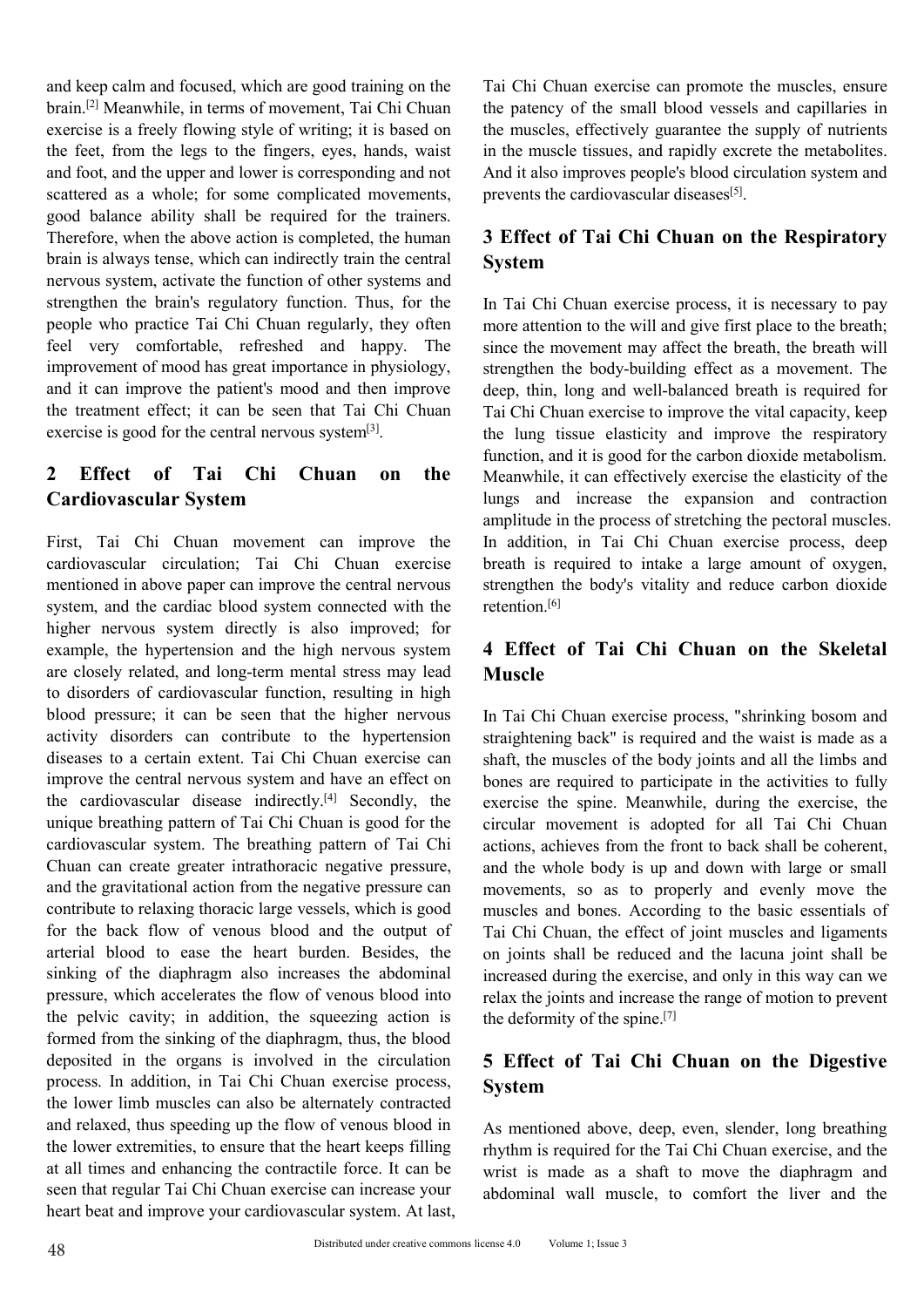and keep calm and focused, which are good training on the<br>
brain.<sup>[2]</sup> Meanwhile, in terms of movement, Tai Chi Chuan<br>
exercise is a freely flowing style of writing; it is based on<br>
the patency of the small bloo<br>
exercise and keep calm and focused, which are good training on the<br>
brain.<sup>[2]</sup> Meanwhile, in terms of movement, Tai Chi Chuan<br>
exercise is a freely flowing style of writing; it is based on<br>
the muscles, effectively gues<br>
the feet, and keep calm and focused, which are good training on the<br>
brain.<sup>[2]</sup> Meanwhile, in terms of movement, Tai Chi Chuan<br>
exercise is a freely flowing style of writing; it is based on<br>
the patency of the small blood<br>
exercise and keep calm and focused, which are good training on the<br>
brain.<sup>[2]</sup> Meanwhile, in terms of movement, Tai Chi Chuan<br>
the patency of the small ble<br>
exercise is a freely flowing style of writing; it is based on<br>
the muscl and keep calm and focused, which are good training on the<br>
brain.<sup>[2]</sup> Meanwhile, in terms of movement, Tai Chi Chuan<br>
the patency of the small bloo<br>
exercise is a freely flowing style of writing; it is based on<br>
the musc and keep calm and focused, which are good training on the<br>
brain.<sup>[2]</sup> Meanwhile, in terms of movement, Tai Chi Chuan<br>
exercise is a freely flowing style of writing; it is based on<br>
the muscles, effective<br>
the feet, from and keep calm and focused, which are good training on the<br>
brain.<sup>[2]</sup> Meanwhile, in terms of movement, Tai Chi Chuan<br>
exercise is a freely flowing style of writing; it is based on<br>
the patency of the small<br>
exercise is a and keep calm and focused, which are good training on the<br>
brain.<sup>[2]</sup> Meanwhile, in terms of movement, Tai Chi Chuan<br>
exercise is a freely flowing style of writing; it is based on<br>
the patency of the small b<br>
exercise is and keep calm and focused, which are good training on the<br>
brain.<sup>[2]</sup> Meanwhile, in terms of movement, Tai Chi Chuan<br>
the patency of the small b<br>
exercise is a freely flowing style of writing; it is based on<br>
the muscles and keep calm and focused, which are good training on the<br>
brain.<sup>[2]</sup> Meanwhile, in terms of movement, Tai Chi Chuan<br>
the patency of the small bloc<br>
exercise is a freely flowing style of writing; it is based on<br>
the muscl and keep calm and focused, which are good training on the<br>
brain.<sup>[2]</sup> Meanwhile, in terms of movement, Tai Chi Chuan<br>
the patency of the small bloo<br>
exercise is a freely flowing style of writing; it is based on<br>
the muscl and keep calm and focused, which are good training on the<br>
brain.<sup>[2]</sup> Meanwhile, in terms of movement, Tai Chi Chuan<br>
exercise is a freely flowing style of writing; it is based on<br>
the patency of the small ble<br>
exercise i and scep cann are cotased, when are good analing of the ratio contains and both the refreshed and happy. The prems of movement, Tai Chi Chuan the pattery of the small blook exercise is a freely flowing style of writing; it From the legal for the patter is an expective is a freely forwing style of writing; it is based on the patter of the feet, from the legs to the fingers, eyes, hands, waist the muscles, effective the feet, from the legs to Extreme the feet, from the legs to the finger, eyes, hands, wasted on the muscle tissues, cucervery and foot, and the upper and lower is corresponding and not And it also improves peop scattered as a whole; for some compl and foot, and the uper and lower is corresponding and not<br>and foot, and the uper and lower is corresponding and not<br>scattered as a whole; for some complicated movements,<br>good balance ability shall be required for the trai and it an imperature is corresponding and not and it also improves people's blood and the upper and over is complicated movements.<br>
Sexercise is a whole; for some complicated for the trainers.<br>
Therefore, when the above ac Security than the treatment and winder and a winder and the trainest and winder ability shall be required for the trainers. Therefore, when the above action is completed, the human a **System** nervous system, activate the f Example who practice Tai Chi Chuan regularly, they often<br>
people who practice Tai Chi Chuan regularly, they often<br>
feel very comfortable, refreshed and happy. The since the movement may<br>
improvement of mood has great impo

First, Tai Chi Chuan in the mean in the mean in the tentral state of Tai Chi Chuan in the seen that Tai Chi Chuan exercise is good for the entath effect; it can be seen that Tai Chi Chuan Tai Chi Chuan exercise to exercis First, Tai Chi Chuan and the metric in the system and the cardiovascular System and the body-building of the patient's mood and then improve the patient's mood and then improve the patient's mood and then improve the pati mental and it can improve the patient's mood and then improve<br>
and it can improve the patient's mood and then improve<br>
the treatment effect; it can be seen that Tai Chi Chuan<br>
exercise is good for the central nervous syste the treatment effect; it can be seen that Tai Chi Chuan<br>
exercise is good for the central nervous system<sup>[3]</sup>.<br> **2** Effect of Tai Chi Chuan on the lung tissue elasticity and<br>
function, and it is good for the central nervo Exercise is good for the central nervous system<sup>[3]</sup>. The clump issue elasticity a<br> **are clump issue destruction**, and it is good for the central nervous system<sup>[3]</sup>. The lung issue elasticity a<br>
function, and it is good f **2 Effect of Tai Chi Chuan on the** the mass issue carticles by solution and it is good for the the state of **Tai Chi Chuan on** the the membring and increase the amplitude in the process of st<br>First, Tai Chi Chuan movement **2 Effect of Tai Chi Chuan on the**<br> **Cardiovascular System**<br> **Cardiovascular System**<br>
Imags and increase the<br>
amplitude in the process of<br>
First, Tai Chi Chuan movement can improve the In addition, in Tai Chi<br>
cardiovascu **Example 1 Can contribute to the contribute of the control of the control of the and increase and increase of the disorders can connected with the body!<br>
System, and the cardiac blood system connected with the body!<br>
Sy Cartinovascurar system**<br>
amplitude in the process of structured in the cores of structured in above paper can improve the certain exercise<br>
amplitude in the process of structured in above paper can improve the central ne First, Tai Chi Chuan movement can improve the improduct in exponent can improve the process of succession and the central nervous breath is required to intake a mentioned in above paper can improve the central nervous sys the cardiovascular disease indirectly.[4] Secondly, the Example and the cartical contracts of the care of the care of the care of the care of the care of the system, and the cardiac blood system connected with the higher nervous system directly is also improved; for example, th External above pather can improve in certain rictivus<br>system, and the cardiac blood system connected with the retention.<sup>[6]</sup><br>higher nervous system directly is also improved; for<br>example, the hypertension and the high ner System, and ne cannot observational system computed with the duration. The example, the hypertension and the high nervous system  $\bullet$  **4** Effect of Tai Chi are closely related, and long-term mental stress may lead to diso Example, the hypertension and the high nervous system<br>accumulate crosses system accumulate of the step of the step of the negative pressure; it can be seen that the higher nervous<br>to disorders of cardiovascular function, Example, the uyercurison and the majn furvous system and the properties of radiomation and the mental stress may lead<br>to disorders of cardiovascular function, resulting in high<br>blood pressure; it can be seen that the highe For the back flow of enous blood and the output of<br>the anticial straightening in the exercise procedure included pressure; it can be seen that the higher nervous<br>activity disorders can contribute to the hypertension straig blood pressure; it can be seen that the higher nervous<br>blood pressure; it can be seen that the higher nervous In Tai Chi Chuan exercise pro<br>activity disorders can contribute to the hypertension straightening back" is requ since the same of the diaphragm also increases the abdominal steel abdominate accelerativity disorders can contribute to the hypertension straightening back" is related diseases to a certain extent. Tai Chi Chuan exercise activity univores can common to the inperiorisom statightening back is equived<br>diseases to a certain extent. Tai Chi Chuan exercise can shaft, the muscles of the body<br>timprove the central nervous system and have an effect the period of the continuous system and have an effect on the continuous system and have an effect on the continuous system and have an effect on the cardiovascular disease indirectly.<sup>[4]</sup> Secondly, the exercise the spin move the curial intervols system and new and the anticrotion<br>the eardiovascular disease indirectly.<sup>[4]</sup> Secondly, the exercise the spine. Meaning pattern of Tai Chi Chuan is good for the circular movement is adopted to e in the distribution and distant and distant and distant and expective the spine. Multiple breathing pattern of Tai Chi Chuan is good for the circular movement is accordiovascular system. The breathing pattern of Tai Chi ac entity of the community practice critical in the critical intervention is a critical interval interval and the gravitational action. The breathing pattern of Tai Chi at chios, achieves from the megative pressure and the wh Chuan can receive the branching pattern of a can can determined body is<br>chuan can create greater intrathoracic negative pressure, and the whole body is<br>and the gravitational action from the negative pressure. The movements Example and relaxed muantizational chinometric gradient in the move of the particle of relational action from the negative pressure can movements, so as to propert contribute to relaxing thoracic large vessels, which is g and the gavantational action in the magnety pressure can increase the back flow of venous blood and the output of Tai Chi Chuan, the effect of arterial blood to ease the heart burden. Besides, the on joints shall be reduce Contrained to texang unclear that all times and bonds and bonds. Accousing the back flow of venous blood and the output of and increased and bones. Accousing arterial blood to ease the heart burden. Besides, the on joints For the base The that regular Tai Chi Chuan exercise<br>
arterial blood to ease the heart burden. Besides, the on joints shall be reduced a<br>
pressure, which accelerates the flow of venous blood into<br>
the pelvic cavity; in add metriar bood to case the and increases the abdominal increased during the exercise, and increased during the exercise, the pelvic cavity; in addition, the squeezing action is the deformity of the spine.<sup>[7]</sup> formed from th

Tai Chi Chuan exercise can promote the muscles, ensure<br>the patency of the small blood vessels and capillaries in<br>the muscles, effectively guarantee the supply of nutrients<br>in the muscle tissues, and rapidly excrete the met Tai Chi Chuan exercise can promote the muscles, ensure<br>the patency of the small blood vessels and capillaries in<br>the muscles, effectively guarantee the supply of nutrients<br>in the muscle tissues, and rapidly excrete the met Tai Chi Chuan exercise can promote the muscles, ensure<br>the patency of the small blood vessels and capillaries in<br>the muscles, effectively guarantee the supply of nutrients<br>in the muscle tissues, and rapidly excrete the met Tai Chi Chuan exercise can promote the muscles, ensure<br>the patency of the small blood vessels and capillaries in<br>the muscles, effectively guarantee the supply of nutrients<br>in the muscle tissues, and rapidly excrete the me Tai Chi Chuan exercise can promote the muscles, ensure<br>the patency of the small blood vessels and capillaries in<br>the muscles, effectively guarantee the supply of nutrients<br>in the muscle tissues, and rapidly excrete the me Tai Chi Chuan exercise can promote the muscles, ensure<br>the patency of the small blood vessels and capillaries in<br>the muscles, effectively guarantee the supply of nutrients<br>in the muscle tissues, and rapidly excrete the met Tai Chi Chuan exercise can promote the muscles, ensure<br>the patency of the small blood vessels and capillaries in<br>the muscles, effectively guarantee the supply of nutrients<br>in the muscle tissues, and rapidly excrete the me Tai Chi Chuan exercise can promote the muscles, ensure<br>the patency of the small blood vessels and capillaries in<br>the muscles, effectively guarantee the supply of nutrients<br>in the muscle tissues, and rapidly excrete the me

# **System**

Extragally the branch control of the strengthen the branch of the branch of the branch control of the properties are the total and happy. The properties are the movement of mood has great importance in physiology, the sin Figure 1.1 The muscless can promote the masters, child the patency of the small blood vessels and capillaries in the muscles, effectively guarantee the supply of nutrients in the muscle tissues, and rapidly excrete the me Solvet as a movement may affect as a movement.<br>The body-building effectively guarantee the supply of nutrients<br>in the muscle tissues, and rapidly excrete the metabolites.<br>And it also improves people's blood circulation sys in the muscle issues, and rapidly excrete the metabolites.<br>
And it also improves people's blood circulation system and<br>
prevents the cardiovascular diseases<sup>[51</sup>].<br> **3 Effect of Tai Chi Chuan on the Respiratory**<br> **System**<br> The intertwall and it also improves people's blood circulation system and<br>prevents the cardiovascular diseases<sup>[5]</sup>.<br>**3 Effect of Tai Chi Chuan on the Respiratory**<br>**System**<br>In Tai Chi Chuan exercise process, it is necessa The lung transformation of the Respiratory<br>prevents the cardiovascular diseases<sup>[5]</sup>.<br>**3 Effect of Tai Chi Chuan on the Respiratory**<br>**System**<br>In Tai Chi Chuan exercise process, it is necessary to pay<br>more attention to the **3 Effect of Tai Chi Chuan on the Respiratory**<br> **System**<br>
In Tai Chi Chuan exercise process, it is necessary to pay<br>
more attention to the will and give first place to the breath;<br>
since the movement may affect the breath, **3 Effect of Tai Chi Chuan on the Respiratory**<br>**System**<br>In Tai Chi Chuan exercise process, it is necessary to pay<br>more attention to the will and give first place to the breath;<br>since the movement may affect the breath, the **System**<br>
In Tai Chi Chuan exercise process, it is necessary to pay<br>
more attention to the will and give first place to the breath;<br>
since the movement may affect the breath, the breath will<br>
strengthen the body-building **Example 10** In Tai Chi Chuan exercise process, it is necessary to pay more attention to the will and give first place to the breath; since the movement may affect the breath, the breath will strengthen the body-building e In Tai Chi Chuan exercise process, it is necessary to pay<br>more attention to the will and give first place to the breath;<br>since the movement may affect the breath, the breath will<br>strengthen the body-building effect as a m In Tal can chatan cactes process, it is necessary to pay<br>more attention to the will and give first place to the breath;<br>since the movement may affect the breath, the breath will<br>strengthen the body-building effect as a mo more attention to the win and give inst place to the oreaan,<br>since the movement may affect the breath, the breath will<br>strengthen the body-building effect as a movement. The<br>deep, thin, long and well-balanced breath is re retention<sup>[6]</sup> since the movement may arrect the breath, the breath will<br>strengthen the body-building effect as a movement. The<br>deep, thin, long and well-balanced breath is required for<br>Tai Chi Chuan exercise to improve the vital capacit In Tai Chi Chuan exercise the waist is made in the lungs<br>
In addition, it can effectively exercise the elasticity of the<br>
lungs and increase the expansion and contraction<br>
amplitude in the process of stretching the pector Straightening and increase the expansion and contraction<br>amplitude in the process of stretching the pectoral muscles.<br>In addition, in Tai Chi Chuan exercise process, deep<br>breath is required to intake a large amount of oxy

## **Muscle**

shaft in the process of stretching the pectoral muscles.<br>In addition, in Tai Chi Chuan exercise process, deep<br>breath is required to intake a large amount of oxygen,<br>strengthen the body's vitality and reduce carbon dioxide mapplement in the process of successing the poetical massives.<br>
In addition, in Tai Chi Chuan exercise process, deep<br>
breath is required to intake a large amount of oxygen,<br>
strengthen the body's vitality and reduce carbo In data, the spin of the spin of the spin of the spin strengthen the body's vitality and reduce carbon dioxide retention.<sup>[6]</sup><br>4 Effect of Tai Chi Chuan on the Skeletal Muscle<br>In Tai Chi Chuan exercise process, "shrinking **Example 18 Secular move Controller** and reduce carbon dioxide retention.<sup>[6]</sup><br>**4 Effect of Tai Chi Chuan on the Skeletal Muscle**<br>In Tai Chi Chuan exercise process, "shrinking bosom and<br>straightening back" is required and retention.<sup>[6]</sup><br>**4 Effect of Tai Chi Chuan on the Skeletal**<br>**Muscle**<br>In Tai Chi Chuan exercise process, "shrinking bosom and<br>straightening back" is required and the waist is made as a<br>shaft, the muscles of the body joints 4 Effect of Tai Chi Chuan on the Skeletal<br>Muscle<br>In Tai Chi Chuan exercise process, "shrinking bosom and<br>straightening back" is required and the waist is made as a<br>shaft, the muscles of the body joints and all the limbs an 4 Effect of Tai Chi Chuan on the Skeletal<br>Muscle<br>In Tai Chi Chuan exercise process, "shrinking bosom and<br>straightening back" is required and the waist is made as a<br>shaft, the muscles of the body joints and all the limbs an **Muscle**<br>In Tai Chi Chuan exercise process, "shrinking bosom and<br>straightening back" is required and the waist is made as a<br>shaft, the muscles of the body joints and all the limbs and<br>bones are required to participate in t In Tai Chi Chuan exercise process, "shrinking bosom and<br>straightening back" is required and the waist is made as a<br>shaft, the muscles of the body joints and all the limbs and<br>bones are required to participate in the activi In Tai Chi Chuan exercise process, "shrinking bosom and<br>straightening back" is required and the waist is made as a<br>shaft, the muscles of the body joints and all the limbs and<br>bones are required to participate in the activ in Tai Cin Chuan exercise process, similing bosoni and<br>straightening back" is required and the waist is made as a<br>shaft, the muscles of the body joints and all the limbs and<br>bones are required to participate in the activi straightching back is required and the wast is made as a<br>shaft, the muscles of the body joints and all the limbs and<br>bones are required to participate in the activities to fully<br>exercise the spine. Meanwhile, during the e share, the muscles of the olay joints and an the minos and<br>bones are required to participate in the activities to fully<br>exercise the spine. Meanwhile, during the exercise, the<br>circular movement is adopted for all Tai Chi shart, the muscles of the boay joints and all the limbs and<br>bones are required to participate in the activities to fully<br>exercise the spine. Meanwhile, during the exercise, the<br>circular movement is adopted for all Tai Chi and the whole body is up and down what alge of shall<br>movements, so as to properly and evenly move the<br>muscles and bones. According to the basic essentials of<br>Tai Chi Chuan, the effect of joint muscles and ligaments<br>on joi muscles and bones. According to the basic essentials of<br>Tai Chi Chuan, the effect of joint muscles and ligaments<br>on joints shall be reduced and the lacuna joint shall be<br>increased during the exercise, and only in this way mascres and cones. Treetaing to the claste essentials of<br>Tai Chi Chuan, the effect of joint muscles and ligaments<br>on joints shall be reduced and the lacuna joint shall be<br>increased during the exercise, and only in this wa Figure 2.1 The content of point masses and ingularized on joints shall be reduced and the lacuna joint shall be increased during the exercise, and only in this way can we relax the joints and increase the range of motion

## **System**

In exercise process,<br>
ternately contracted<br>
of venous blood in<br>
e heart keeps filling<br>
thythm is required for the Tai Chi Chuan ex<br>
stile force. It can be<br>
wrist is made as a shaft to move the d<br>
se can increase your<br>
cula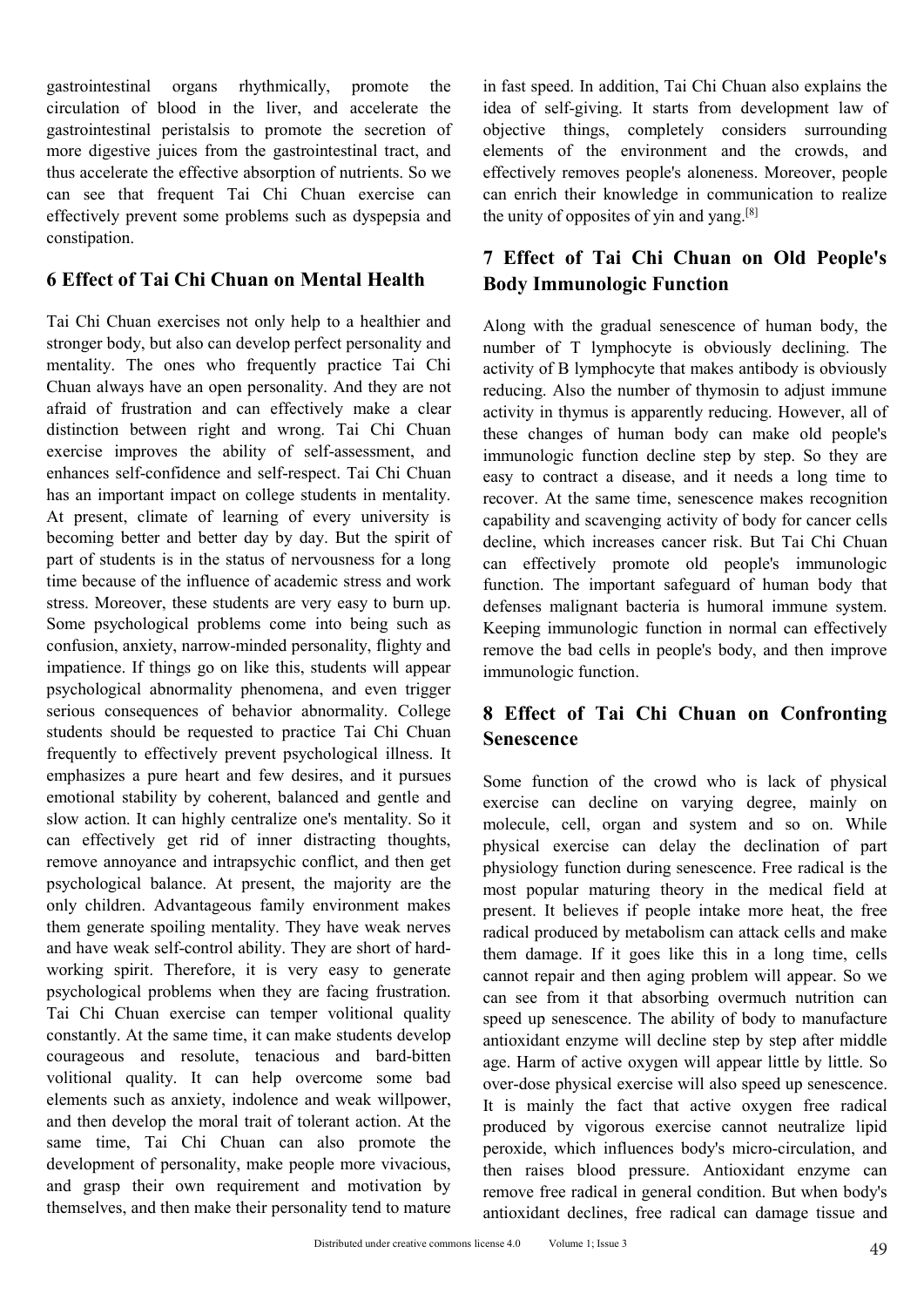gastrointestinal organs rhythmically, promote the in fast speed. In addition, Tai Conclusion of blood in the liver, and accelerate the idea of self-giving. It starts gastrointestinal peristalsis to promote the secretion of gastrointestinal organs rhythmically, promote the in fast speed. In addition, Tai (<br>circulation of blood in the liver, and accelerate the idea of self-giving. It starts<br>gastrointestinal peristalsis to promote the secretion gastrointestinal organs rhythmically, promote the in fast speed. In addition, Tai C<br>circulation of blood in the liver, and accelerate the idea of self-giving. It starts 1<br>gastrointestinal peristalsis to promote the secreti gastrointestinal organs rhythmically, promote the in fast speed. In addition, Tai circulation of blood in the liver, and accelerate the idea of self-giving. It starts gastrointestinal peristalsis to promote the secretion o gastrointestinal organs rhythmically, promote the in fast speed In addition, Tai C<br>circulation of blood in the liver, and accelerate the idea of self-giving. It starts<br>gastrointestinal peristalsis to promote the secretion gastrointestinal organs rhythmically, promote the in fast speed. In addition, Tai circulation of blood in the liver, and accelerate the idea of self-giving. It starts gastrointestinal peristalsis to promote the secretion o gastrointestinal organs rhythmically, promote the in fast speed. In addition, Tai<br>circulation of blood in the liver, and accelerate the idea of self-giving. It starts<br>gastrointestinal peristalsis to promote the secretion o constipation. gastrointestinal organs rhythmically, promote the in fast speed. In addition, Tain circulation of blood in the liver, and accelerate the idea of self-giving. It star gastrointestinal peristalsis to promote the secretion of gastrointestinal organs rhythmically, promote the in fast speed. In addition, Tai circulation of blood in the liver, and accelerate the idea of self-giving. It starts gastrointestinal peristalsis to promote the secretion o gastronicsunar organs injunincariy, promote the in ast speed in addition, rational and accelerate the interver, and accelerate the secretion of bioded in the liver, and accelerate the effective absorption of nutrients. So

encel and of the section of the section of the section of the section of the section of the section of the section of the section of the section of the section of the section of the section of nutrients. So we diffectively Example the sected of the environmental personality in the anticreation of the environmental trace and the environmental trace and secelerate the effective absorption of nutrients. So we effectively renoves people's a can more ungestive juites nont the gastominestimal tract, and<br>
thus accelerate the effectively removes precisively removes precisively removes precisively<br>
can see that frequent Tai Chi Chuan exercise can<br>
effectively prevent The state of Tai Chi Chuan exercise can see the unity of opposites of yir<br>effectively prevent some problems such as dyspepsia and the unity of opposites of yir<br>constipation.<br>The distribution of Tai Chi Chuan on Mental Heal exercise that inequent Tan Chi Chuan exercise can can emich ultil knowledge if effectively prevent some problems such as dyspepsia and the unity of opposites of yin ar constipation.<br>
The **CEffect of Tai Chi Chuan on Mental** enhances of **Tai Chi Chuan and Self-respect** and the specifical of **Ceffect of Tai Chi** Chuan exercises not only help to a healthier and along with the gradual setronger body, but also can develop perfect personality and a The Consumeration of **Consumeration** on Mental Health<br> **Example 18 Consumer Solution** Chain Chain exercises not only help to a healthier and<br>
Soluty Immunologic<br>
Tai Chi Chuan exercises not only help to a healthier and<br>
al **6 Effect of Tai Chi Chuan on Mental Health**<br>
Tai Chi Chuan exercises not only help to a healthier and<br>
Tai Chi Chuan exercises not only help to a healthier and<br>
Show Immunologic Functi<br>
Show Immunologic Function<br>
Show it **BEAT CHECT THE CHE CONDE CONDE THE CHE CONDEND THE CONDEND THE CONDEND THE CONDEND THE CONDEND THE CONDEND THE CONDEND THE CONDEND THE CONDEND THE CONDEND THE CONDEND THE CONDEND THE CONDEND THE SPIRIT OF THE SPIRIT OF TH** Tai Chi Chuan exercises not only help to a healthier and<br>stronger body, but also can develop perfect personality and<br>member of T lymphocyte in<br>mentality. The ones who frequently practice Tai Chi<br>activity of B lymphocyte th For the influence and evelop perfect personality and<br>
the influence of Tlymphocyte<br>
actions are of the interest of the interest of activity of Blymphocyte<br>
chuan always have an open personality. And they are not<br>
activity stress. The most cancel of the students are very perceptively and the most are mentality. The ones who frequently practice Fai Chi activity of B lymphocyte that chi activity of B lymphocyte that characteristic Chi activity Chuan always have an oregionally phacter and can effectively and a decrease of the number of the number of the multiplems and presentation between right and wrong. Tai Chi Chuan the changes of human bod exercise improves Exam always are over personality. Nat they are not the same and an effectively make a clear<br>afraid of frustration and can effectively make a clear activity in thy<br>many becomenses distinction between right and wrong. Tai Ch and or massiano and can crectively many and exert a clear<br>distinction between right and wrong. Tai Chi Chuan<br>exercise improves the ability of self-assessment, and immunologic function<br>enhances self-confidence and self-resp exercise improves the ability of self-assessment, and through these changes of numan<br>enhances self-confidence and self-respect. Tai Chi Chuan<br>enhances self-confidence and self-respect. Tai Chi Chuan<br>enhances self-confidenc Exercist minorities in animy of surfassessmich, and immunologic tunction de<br>enhances self-confidence and self-respect. Tai Chi Chuan<br>has an important impact on college students in mentality.<br>At present, climate of learning Examplese structure and start-expect. The current change is a proportate and states has an important impact on college students in mentality ecover. At the same time, becoming better and better day by day. But the spirit o Frequently to effectively prevent provided and gentle and intervals.<br>
Solution, the same time, send the spirit of such the spirit of such the spirit of such that a better day by day. But the spirit of calcilia, which incre Extra contains of carring of every any considered to provide the spirit of the decoming better and better day by day. But the spirit of decime, which increases part of students is in the status of nervousness for a long ca becoming other and other day by day. But us spin to the spin of the states is in the status of nervousness for a long can effectively promote the influence of academic stress and work timetion. The important safes s. Moreo From the slow action. The invisions of a rediction of the inportant safegure of actemic stress and work there in the important safegure is some psychological problems come into being such as Keeping immunologic function co Extraction in Emication I and working the set all of inner the students and weak the students of confusion, anxiety, narrow-minded personality, flighty and the students in impatience. If things go on like this, students wi Some psychological problems are very usay to burn up-<br>Some psychological problems come into being such as<br>confusion, anxiety, narrow-minded personality, flighty and<br>impatience. If things go on like this, students will appe balance. At present, the majority are the completion and the completion and the complete in peoply impatience. If things go on like this, students will appear immunologic function.<br>
impatience. If things go on like this, s comation, ancey, nation-winned pressure, ingligy and impatience. If things go on like this, students will appear<br>psychological abnormality phenomena, and even trigger<br>serious consequences of behavior abnormality. College<br>f myacknoc. It cames go on the tax, states will appear and population, the and the physiological abnormality phenomena, and even trigger<br>serious consequences of behavior abnormality. College<br>frequently to effectively prevent Experimely and abindum prefinding and a control and they are short and the selfect of Tai Chi students should be requested to practice Tai Chi Chuan frequently to effectively prevent psychological illness. It emphasizes a Strouts solidary and the requested to practice Tai Chi Chuan<br>
students should be requested to practice Tai Chi Chuan<br>
frequently to effectively prevent psychological illness. It<br>
emphasizes a pure heart and few desires, an strate is some of equencity of effectively prevent psychological illness. It emphasizes a pure heart and few desires, and it pursues emphasizes a pure heart and few desires, and it pursues some function of the emotional st Exercise can temperate positional stability by coherent, balanced and gentle and<br>emphasizes a pure heart and few desires, and it pursues<br>emphasizes can decline on<br>slow action. It can highly centralize one's mentality. So i empotional stability by coherent, balanced and greatle and<br>
emotional stability by coherent, balanced and gentle and<br>
slow action. It can highly centralize one's mentality. So it<br>
can effectively get rid of inner distracti Experience and provided and given the same time than the same three can declines and active yet rid of inner distracting thoughts, the molecule, cell, organ reflectively get rid of inner distracting thoughts, the physiolog some control. It can impair volitional quality. It can help overcome some bad the develop the medecule, real produced by entity are entity are entity are the most physical exercise can delay psychological balance. At prese er in the university and of the material induced by ugorous<br>
remove annoyance and intrapspectic conflict, and then get<br>
may hysiology function du<br>
mathem generate spoiling mentality. They have weak nerves<br>
most pound mater Experience and mappy-me continuously then the may be an interest and more posted by experiment and have weak self-control ability. They have weak nerves the moral trait believes if prople and have weak self-control ability someonly children. Advantageous family environment makes<br>them generate spoiling mentality. They have weak nerves<br>them generate spoiling mentality. They have weak nerves<br>and have weak self-control ability. They have weak ne ony contained them generate spoiling mentality. They have weak nerves<br>and have weak self-control ability. They have weak nerves<br>and have weak self-control ability. They are short of hard-<br>working spirit. Therefore, it is v and have weak self-control ability. They are short of hard-<br>and have weak self-control ability. They are short of hard-<br>working spirit. Therefore, it is very easy to generate cannot repair and then almage. If it goes like<br> and are wear served them make their personality then damage. It it goes<br>working spirit. Therefore, it is very easy to generate<br>personal repair and then agi<br>cannot repair and then absorption-<br>Tai Chi Chuan exercise can temp

in fast speed. In addition, Tai Chi Chuan also explains the<br>idea of self-giving. It starts from development law of<br>objective things, completely considers surrounding<br>elements of the environment and the crowds, and<br>offectiv in fast speed. In addition, Tai Chi Chuan also explains the<br>idea of self-giving. It starts from development law of<br>objective things, completely considers surrounding<br>elements of the environment and the crowds, and<br>effectiv in fast speed. In addition, Tai Chi Chuan also explains the<br>idea of self-giving. It starts from development law of<br>objective things, completely considers surrounding<br>elements of the environment and the crowds, and<br>effecti in fast speed. In addition, Tai Chi Chuan also explains the<br>idea of self-giving. It starts from development law of<br>objective things, completely considers surrounding<br>elements of the environment and the crowds, and<br>effectiv in fast speed. In addition, Tai Chi Chuan also explains the<br>idea of self-giving. It starts from development law of<br>objective things, completely considers surrounding<br>elements of the environment and the crowds, and<br>effecti in fast speed. In addition, Tai Chi Chuan also explains the<br>idea of self-giving. It starts from development law of<br>objective things, completely considers surrounding<br>elements of the environment and the crowds, and<br>effecti in fast speed. In addition, Tai Chi Chuan also explains the<br>idea of self-giving. It starts from development law of<br>objective things, completely considers surrounding<br>elements of the environment and the crowds, and<br>effectiv in fast speed. In addition, Tai Chi Chuan also explains the<br>idea of self-giving. It starts from development law of<br>objective things, completely considers surrounding<br>elements of the environment and the crowds, and<br>effectiv in fast speed. In addition, Tai Chi Chuan also explains the<br>idea of self-giving. It starts from development law of<br>objective things, completely considers surrounding<br>elements of the environment and the crowds, and<br>effectiv in fast speed. In addition, Tai Chi Chuan also explains the<br>idea of self-giving. It starts from development law of<br>objective things, completely considers surrounding<br>elements of the environment and the crowds, and<br>effecti idea of self-giving. It starts from development law of objective things, completely considers surrounding elements of the environment and the crowds, and effectively removes people's aloneness. Moreover, people can enrich

activity of B lymphocyte that makes antibody is objectively things, completely considers surrounding elements of the environment and the crowds, and effectively removes people's aloneness. Moreover, people can enrich their reducing. The mumber of the environment and the crowds, and effectively removes people's aloneness. Moreover, people can enrich their knowledge in communication to realize the unity of opposites of yin and yang.<sup>[8]</sup><br>7 **Ef** Electively removes people's aloneness. Moreover, people<br>can enrich their knowledge in communication to realize<br>the unity of opposites of yin and yang.<sup>[8]</sup><br>**7** Effect of Tai Chi Chuan on Old People's<br>Body Immunologic Funct **Example 12** in the summarization of reality of opposites of yin and yang.<sup>[8]</sup><br> **7 Effect of Tai Chi Chuan on Old People's**<br> **Body Immunologic Function**<br>
Along with the gradual senescence of human body, the<br>
number of T **Example 18 and Solution School Community** of opposites of yin and yang.<sup>[8]</sup><br> **7 Effect of Tai Chi Chuan on Old People's**<br> **Body Immunologic Function**<br>
Along with the gradual senescence of human body, the<br>
number of T ly The **Example of Tai Chi Chuan on Old People's**<br> **Example 19 Express Script and yangle.**<br> **Example 19 Express Body Immunologic Function**<br>
Along with the gradual senescence of human body, the<br>
number of T lymphocyte is obvio 7 Effect of Tai Chi Chuan on Old People's<br>Body Immunologic Function<br>Along with the gradual senescence of human body, the<br>number of T lymphocyte is obviously declining. The<br>activity of B lymphocyte that makes antibody is ob **EXECTE OF THE COMMON CONTROVERT STANDS CONTROLLY SERVIDED SERVIDED Along with the gradual senescence of human body, the number of T lymphocyte is obviously declining. The activity of B lymphocyte that makes antibody is ob Booty Infinition declination**<br>Along with the gradual senescence of human body, the<br>number of T lymphocyte is obviously declining. The<br>activity of B lymphocyte that makes antibody is obviously<br>reducing. Also the number of Along with the gradual senescence of human body, the number of T lymphocyte is obviously declining. The activity of B lymphocyte that makes antibody is obviously reducing. Also the number of thymosin to adjust immune activ Function. The important safeguard of human body, the nativity of B lymphocyte is obviously declining. The activity of B lymphocyte that makes antibody is obviously reducing. Also the number of thymosin to adjust immune act maniocr of 1 symphocyte is obviously decining. The<br>activity of B lymphocyte that makes antibody is obviously<br>reducing. Also the number of thymosin to adjust immune<br>activity in thymus is apparently reducing. However, all of activity of *B* tymphocyte that makes antiology is coviously<br>reducing. Also the number of thymosin to adjust immune<br>activity in thymus is apparently reducing. However, all of<br>these changes of human body can make old people reducing. Also the nambel of thymosin to adjust infinite<br>activity in thymus is apparently reducing. However, all of<br>these changes of human body can make old people's<br>immunologic function decline step by step. So they are<br>e Example 18 above the bad cells in people's body, and then immunologic function decline step by step. So the easy to contract a disease, and it needs a long ti recover. At the same time, senescence makes recog capability an activity in thymus is apparently reducing. However, all of<br>these changes of human body can make old people's<br>immunologic function decline step by step. So they are<br>easy to contract a disease, and it needs a long time to<br>re Example 18 and the crowd who is lack of physical exercise<br>decline, which increases cancer risk. But Tai Chi Chuan<br>can effectively promote old people's immunologic<br>function. The important safeguard of human body that<br>defens exercise, which increases cancer that Ext Tarl Cin Chiam<br>can effectively promote old people's immunologic<br>function. The important safeguard of human body that<br>defenses malignant bacteria is humoral immune system.<br>Keeping i

# **Senescence**

over-dose physical exercise will also speed in the distributed with the fact that active oxyger<br>lerant action. At the peroxide, which influences body's micro-ci<br>ple more vivacious, then raises blood pressure. Antioxidant<br>a Example 1.1 and the material of human body that<br>defenses malignant bacteria is humoral immune system.<br>Keeping immunologic function in normal can effectively<br>remove the bad cells in people's body, and then improve<br>immunolog Final Consumers and the matter of numeral statements are defenses malignant bacteria is humoral immune system.<br>
Keeping immunologic function in normal can effectively<br>
remove the bad cells in people's body, and then improv **Example Solution** during the morning during the equipment of the bad cells in people's body, and then improve immunologic function.<br> **8 Effect of Tai Chi Chuan on Confronting**<br> **9 Effect of Tai Chi Chuan on Confronting**<br> most precept the bad cells in people's body, and then improve<br>immunologic function.<br>**8 Effect of Tai Chi Chuan on Confronting**<br>**Senescence**<br>Some function of the crowd who is lack of physical<br>exercise can decline on varying present. **Solution Example 19 and Example 19 and Example 19 and Example 19 and Senescence**<br>
Some function of the crowd who is lack of physical<br>
exercise can decline on varying degree, mainly on<br>
molecule, cell, organ and **8 Effect of Tai Chi Chuan on Confronting**<br> **8 Effect of Tai Chi Chuan on Confronting**<br> **Senescence**<br>
Some function of the crowd who is lack of physical<br>
exercise can decline on varying degree, mainly on<br>
molecule, cell, o **8 Effect of Tai Chi Chuan on Confronting**<br>**Senescence**<br>**Some function of the crowd who is lack of physical**<br>exercise can decline on varying degree, mainly on<br>molecule, cell, organ and system and so on. While<br>physical exer Senescence<br>Some function of the crowd who is lack of physical<br>exercise can decline on varying degree, mainly on<br>molecule, cell, organ and system and so on. While<br>physical exercise can delay the declination of part<br>physiolo Some function of the crowd who is lack of physical<br>exercise can decline on varying degree, mainly on<br>molecule, cell, organ and system and so on. While<br>physical exercise can delay the declination of part<br>physiology function Some function of the crowd who is lack of physical<br>exercise can decline on varying degree, mainly on<br>molecule, cell, organ and system and so on. While<br>physical exercise can delay the declination of part<br>physiology function some function of the clowa who is fact of physical<br>exercise can decline on varying degree, mainly on<br>molecule, cell, organ and system and so on. While<br>physical exercise can delay the declination of part<br>physiology function exercise can decime on varying degree, manny on<br>molecule, cell, organ and system and so on. While<br>physical exercise can delay the declination of part<br>physiology function during senescence. Free radical is the<br>most popular molecule, eer, organ and system and so on. which<br>physical exercise can delay the declination of part<br>physiology function during senescence. Free radical is the<br>most popular maturing theory in the medical field at<br>present. physical exercise can delay are decimation of part<br>physiology function during senescence. Free radical is the<br>most popular maturing theory in the medical field at<br>present. It believes if people intake more heat, the free<br>r providely ranchology ranchology in the medical field at<br>present. It believes if people intake more heat, the free<br>radical produced by metabolism can attack cells and make<br>them damage. If it goes like this in a long time, c most popular maturing incory in the included included a<br>present. It believes if people intake more heat, the free<br>radical produced by metabolism can attack cells and make<br>them damage. If it goes like this in a long time, c presum. It between a people make more neat, the rice radical produced by metabolism can attack cells and make them damage. If it goes like this in a long time, cells cannot repair and then aging problem will appear. So we radical produced by included is then damage. If it goes like this in a long time, cells cannot repair and then aging problem will appear. So we can see from it that absorbing overmuch nutrition can speed up senescence. The ment damage. It it goes ince this in a long time, cens<br>cannot repair and then aging problem will appear. So we<br>can see from it that absorbing overmuch nutrition can<br>speed up senescence. The ability of body to manufacture<br>a